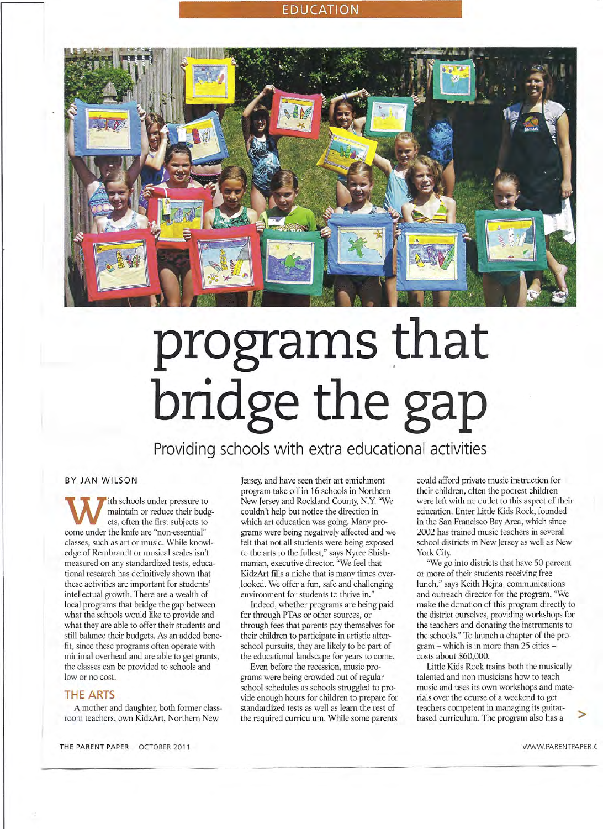# **EDUCATION**



# **programs** that **bridge the gap**

**Providing schools with extra educational activities**

### BY JAN WILSON

W ith schools under pressure t<br>maintain or reduce their but<br>come under the knife are "non-essential" ith schools under pressure to maintain or reduce their budgets, often the first subjects to classes, such as art or music. While knowledge of Rembrandt or musical scales isn't measured on any standardized tests, educational research has definitively shown that these activities are important for students' intellectual growth. There are a wealth of local programs that bridge the gap between what the schools would like to provide and what they are able to offer their students and still balance their budgets. As an added benefit, since these programs often operate with minimal overhead and are able to get grants, the classes can be provided to schools and low or no cost.

### **THE ARTS**

A mother and daughter, both former classroom teachers, own KidzArt, Northern New

Jersey, and have seen their art enrichment program take off in 16 schools in Northern New Jersey and Rockland County, N.Y. "We couldn't help but notice the direction in which art education was going. Many programs were being negatively affected and we felt that not all students were being exposed to the arts to the fullest," says Nyree Shishmanian, executive director. "We feel that KidzArt fills a niche that is many times overlooked. We offer a fun, safe and challenging environment for students to thrive in."

Indeed, whether programs are being paid for through PTAs or other sources, or through fees that parents pay themselves for their children to participate in artistic afterschool pursuits, they are likely to be part of the educational landscape for years to come.

Even before the recession, music programs were being crowded out of regular school schedules as schools struggled to provide enough hours for children to prepare for standardized tests as well as learn the rest of the required curriculum. While some parents

could afford private music instruction for their children, often the poorest children were left with no outlet to this aspect of their education. Enter Little Kids Rock, founded in the San Francisco Bay Area, which since 2002 has trained music teachers in several school districts in New Jersey as well as New York City.

"We go into districts that have 50 percent or more of their students receiving free lunch," says Keith Hejna, communications and outreach director for the program. "We make the donation of this program directly to the district ourselves, providing workshops for the teachers and donating the instruments to the schools." To launch a chapter of the program - which is in more than 25 cities costs about \$60,000.

Little Kids Rock trains both the musically talented and non-musicians how to teach music and uses its own workshops and materials over the course of a weekend to get teachers competent in managing its guitarbased curriculum. The program also has a